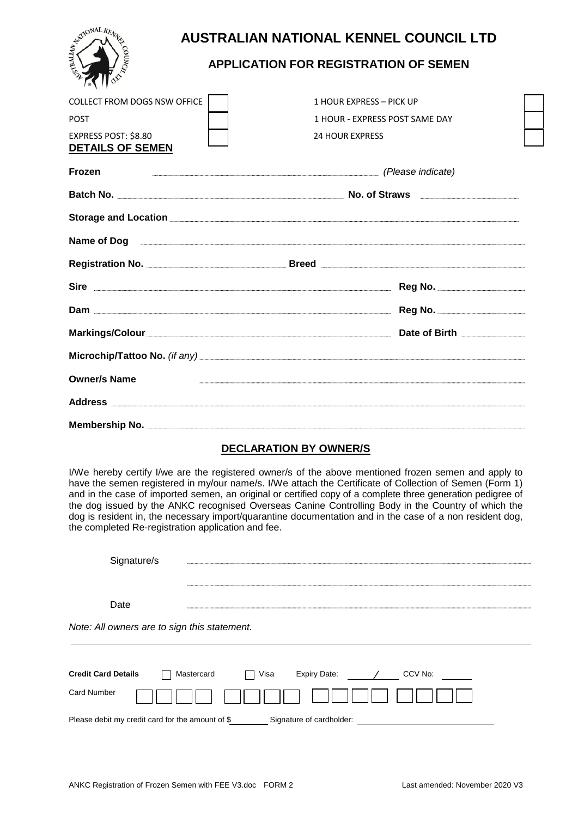

# **AUSTRALIAN NATIONAL KENNEL COUNCIL LTD**

## **APPLICATION FOR REGISTRATION OF SEMEN**

| <b>COLLECT FROM DOGS NSW OFFICE</b><br><b>POST</b><br>EXPRESS POST: \$8.80<br><b>DETAILS OF SEMEN</b> | 1 HOUR EXPRESS - PICK UP<br>1 HOUR - EXPRESS POST SAME DAY<br><b>24 HOUR EXPRESS</b> |  |
|-------------------------------------------------------------------------------------------------------|--------------------------------------------------------------------------------------|--|
| <b>Frozen</b>                                                                                         | (Please indicate)                                                                    |  |
|                                                                                                       |                                                                                      |  |
|                                                                                                       |                                                                                      |  |
|                                                                                                       |                                                                                      |  |
|                                                                                                       |                                                                                      |  |
|                                                                                                       |                                                                                      |  |
|                                                                                                       |                                                                                      |  |
|                                                                                                       | Markings/Colour Date of Birth Date of Birth                                          |  |
|                                                                                                       |                                                                                      |  |
| <b>Owner/s Name</b>                                                                                   | ,我们就会在这里,我们就会在这里,我们就会在这里,我们就会在这里,我们就会在这里,我们就会在这里,我们就会在这里,我们就会在这里,我们就会在这里,我们就会在这里     |  |
|                                                                                                       |                                                                                      |  |
|                                                                                                       |                                                                                      |  |

### **DECLARATION BY OWNER/S**

I/We hereby certify I/we are the registered owner/s of the above mentioned frozen semen and apply to have the semen registered in my/our name/s. I/We attach the Certificate of Collection of Semen (Form 1) and in the case of imported semen, an original or certified copy of a complete three generation pedigree of the dog issued by the ANKC recognised Overseas Canine Controlling Body in the Country of which the dog is resident in, the necessary import/quarantine documentation and in the case of a non resident dog, the completed Re-registration application and fee.

| <b>Credit Card Details</b> | Mastercard                                   | Visa | Expiry Date: | CCV No: |  |
|----------------------------|----------------------------------------------|------|--------------|---------|--|
|                            | Note: All owners are to sign this statement. |      |              |         |  |
| Date                       |                                              |      |              |         |  |
|                            |                                              |      |              |         |  |
| Signature/s                |                                              |      |              |         |  |

Please debit my credit card for the amount of \$ Signature of cardholder:

Card Number